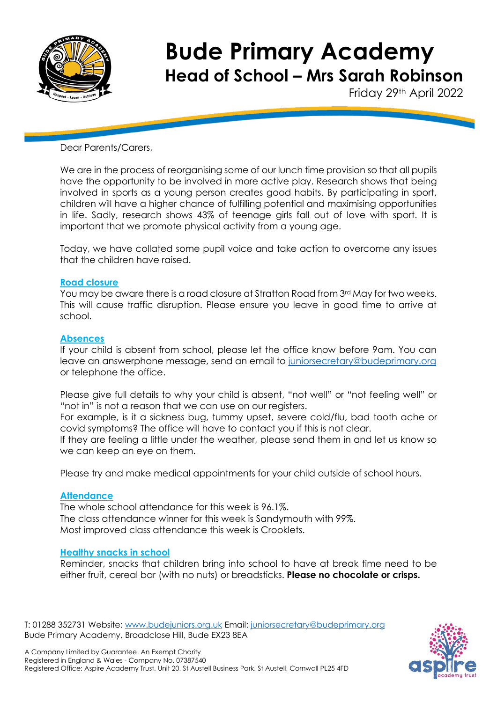

Friday 29th April 2022

Dear Parents/Carers,

We are in the process of reorganising some of our lunch time provision so that all pupils have the opportunity to be involved in more active play. Research shows that being involved in sports as a young person creates good habits. By participating in sport, children will have a higher chance of fulfilling potential and maximising opportunities in life. Sadly, research shows 43% of teenage girls fall out of love with sport. It is important that we promote physical activity from a young age.

Today, we have collated some pupil voice and take action to overcome any issues that the children have raised.

### **Road closure**

You may be aware there is a road closure at Stratton Road from 3rd May for two weeks. This will cause traffic disruption. Please ensure you leave in good time to arrive at school.

#### **Absences**

If your child is absent from school, please let the office know before 9am. You can leave an answerphone message, send an email to [juniorsecretary@budeprimary.org](mailto:juniorsecretary@budeprimary.org) or telephone the office.

Please give full details to why your child is absent, "not well" or "not feeling well" or "not in" is not a reason that we can use on our registers.

For example, is it a sickness bug, tummy upset, severe cold/flu, bad tooth ache or covid symptoms? The office will have to contact you if this is not clear.

If they are feeling a little under the weather, please send them in and let us know so we can keep an eye on them.

Please try and make medical appointments for your child outside of school hours.

#### **Attendance**

The whole school attendance for this week is 96.1%. The class attendance winner for this week is Sandymouth with 99%. Most improved class attendance this week is Crooklets.

#### **Healthy snacks in school**

Reminder, snacks that children bring into school to have at break time need to be either fruit, cereal bar (with no nuts) or breadsticks. **Please no chocolate or crisps.**

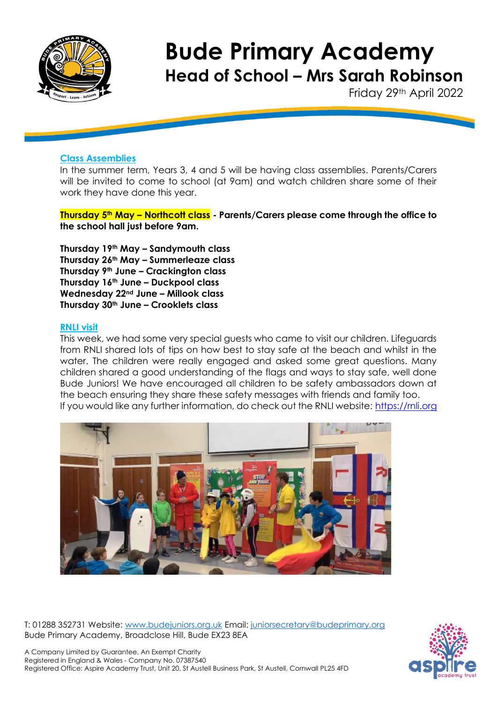

Friday 29th April 2022

### **Class Assemblies**

In the summer term, Years 3, 4 and 5 will be having class assemblies. Parents/Carers will be invited to come to school (at 9am) and watch children share some of their work they have done this year.

**Thursday 5th May – Northcott class - Parents/Carers please come through the office to the school hall just before 9am.**

**Thursday 19th May – Sandymouth class Thursday 26th May – Summerleaze class Thursday 9th June – Crackington class Thursday 16th June – Duckpool class Wednesday 22nd June – Millook class Thursday 30th June – Crooklets class**

### **RNLI visit**

This week, we had some very special guests who came to visit our children. Lifeguards from RNLI shared lots of tips on how best to stay safe at the beach and whilst in the water. The children were really engaged and asked some great questions. Many children shared a good understanding of the flags and ways to stay safe, well done Bude Juniors! We have encouraged all children to be safety ambassadors down at the beach ensuring they share these safety messages with friends and family too. If you would like any further information, do check out the RNLI website: [https://rnli.org](https://eur02.safelinks.protection.outlook.com/?url=https%3A%2F%2Frnli.org%2F&data=05%7C01%7CNikki.Webb%40budeprimary.org%7Cd68229964428455deef708da29309626%7C199653adc1564a05bad3084c1a30b618%7C0%7C0%7C637867585910082780%7CUnknown%7CTWFpbGZsb3d8eyJWIjoiMC4wLjAwMDAiLCJQIjoiV2luMzIiLCJBTiI6Ik1haWwiLCJXVCI6Mn0%3D%7C3000%7C%7C%7C&sdata=17F8M1VXKKK47rsO8eKnXwhCgUI9y20qO%2BoFPpz7Pvw%3D&reserved=0)



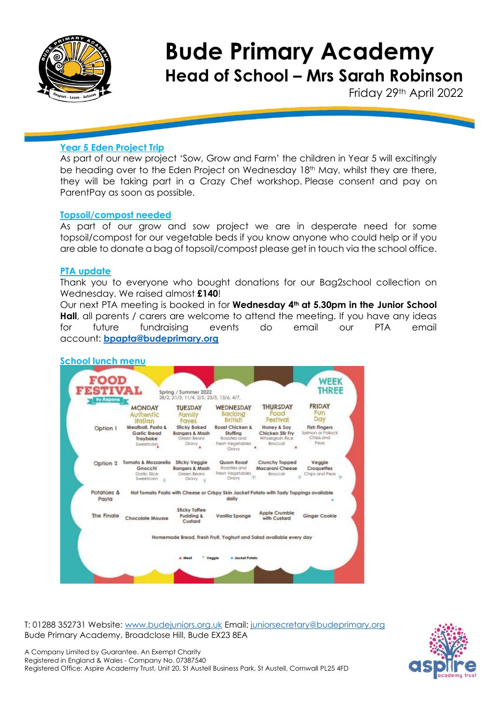

Friday 29th April 2022

## **Year 5 Eden Project Trip**

As part of our new project 'Sow, Grow and Farm' the children in Year 5 will excitingly be heading over to the Eden Project on Wednesday 18<sup>th</sup> May, whilst they are there, they will be taking part in a Crazy Chef workshop. Please consent and pay on ParentPay as soon as possible.

### **Topsoil/compost needed**

As part of our grow and sow project we are in desperate need for some topsoil/compost for our vegetable beds if you know anyone who could help or if you are able to donate a bag of topsoil/compost please get in touch via the school office.

## **PTA update**

Thank you to everyone who bought donations for our Bag2school collection on Wednesday. We raised almost **£140**!

Our next PTA meeting is booked in for **Wednesday 4th at 5.30pm in the Junior School Hall**, all parents / carers are welcome to attend the meeting. If you have any ideas for future fundraising events do email our PTA email account: **[bpapta@budeprimary.org](mailto:bpapta@budeprimary.org)**



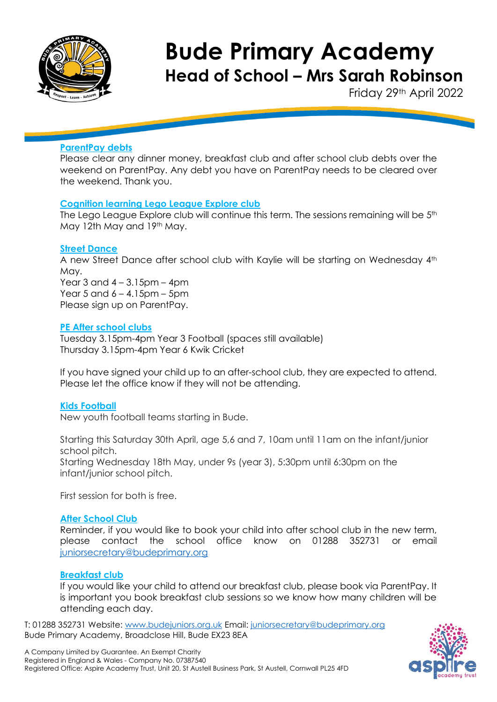

Friday 29th April 2022

## **ParentPay debts**

Please clear any dinner money, breakfast club and after school club debts over the weekend on ParentPay. Any debt you have on ParentPay needs to be cleared over the weekend. Thank you.

### **Cognition learning Lego League Explore club**

The Lego League Explore club will continue this term. The sessions remaining will be 5<sup>th</sup> May 12th May and 19th May.

### **Street Dance**

A new Street Dance after school club with Kaylie will be starting on Wednesday 4th May. Year  $3$  and  $4 - 3.15$ pm –  $4$ pm Year 5 and  $6 - 4.15$ pm – 5pm Please sign up on ParentPay.

### **PE After school clubs**

Tuesday 3.15pm-4pm Year 3 Football (spaces still available) Thursday 3.15pm-4pm Year 6 Kwik Cricket

If you have signed your child up to an after-school club, they are expected to attend. Please let the office know if they will not be attending.

### **Kids Football**

New youth football teams starting in Bude.

Starting this Saturday 30th April, age 5,6 and 7, 10am until 11am on the infant/junior school pitch. Starting Wednesday 18th May, under 9s (year 3), 5:30pm until 6:30pm on the infant/junior school pitch.

First session for both is free.

### **After School Club**

Reminder, if you would like to book your child into after school club in the new term, please contact the school office know on 01288 352731 or email [juniorsecretary@budeprimary.org](mailto:juniorsecretary@budeprimary.org) 

## **Breakfast club**

If you would like your child to attend our breakfast club, please book via ParentPay. It is important you book breakfast club sessions so we know how many children will be attending each day.